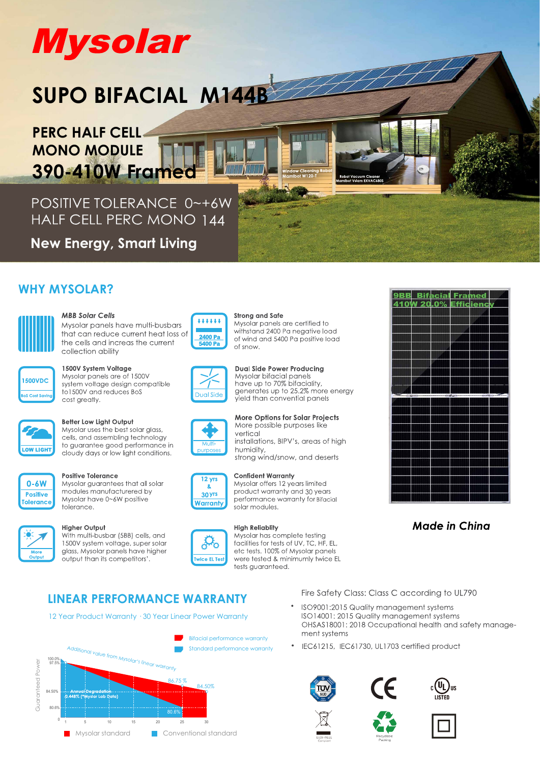# **Mysolar**

# SUPO BIFACIAL M144B

**PERC HALF CELL-MONO MODULE** 390-410W Frame

POSITIVE TOLERANCE 0~+6W HALF CELL PERC MONO 144

**New Energy, Smart Living** 

# **WHY MYSOLAR?**



## **MBB Solar Cells**

Mysolar panels have multi-busbars that can reduce current heat loss of the cells and increas the current collection ability



## 1500V System Voltage

Mysolar panels are of 1500V system voltage design compatible to 1500V and reduces BoS cost greatly.



## Better Low Light Output

Mysolar uses the best solar glass, cells, and assembling technology to guarantee good performance in cloudy days or low light conditions.



### **Positive Tolerance**

Mysolar quarantees that all solar modules manufacturered by Mysolar have 0~6W positive tolerance.

### **Higher Output**

With multi-busbar (5BB) cells, and 1500V system voltage, super solar glass, Mysolar panels have higher output than its competitors'



### **Strong and Safe** Mysolar panels are certified to withstand 2400 Pa negative load of wind and 5400 Pa positive load of snow

i a n'i Bise



**Dual Side Power Producing** Mysolar bifacial panels<br>have up to 70% bifaciality,<br>generates up to 25.2% more energy yield than convential panels



**More Options for Solar Projects** More possible purposes like vertical installations, BIPV's, areas of high humidity,

strong wind/snow, and deserts

Mysolar offers 12 years limited

product warranty and 30 years

performance warranty for Bifacial



solar modules.

**Confident Warranty** 



**High Reliablity** 

Mysolar has complete testing facilities for tests of UV. TC. HF. EL. etc tests. 100% of Mysolar panels were tested & minimumly twice EL

# **LINEAR PERFORMANCE WARRANTY**

12 Year Product Warranty . 30 Year Linear Power Warranty



9BB Bifacial Framed 410W 20.0% Efficienc

# **Made in China**

Fire Safety Class: Class C according to UL790

- ISO9001:2015 Quality management systems ISO14001: 2015 Quality management systems OHSAS18001: 2018 Occupational health and safety management systems
- IEC61215, IEC61730, UL1703 certified product